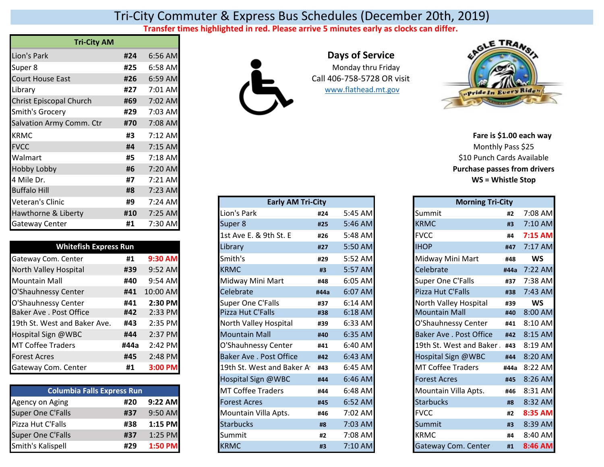## Tri-City Commuter & Express Bus Schedules (December 20th, 2019)

**Transfer times highlighted in red. Please arrive 5 minutes early as clocks can differ.** 

| <b>Tri-City AM</b>       |     |         |
|--------------------------|-----|---------|
| Lion's Park              | #24 | 6:56 AM |
| Super 8                  | #25 | 6:58 AM |
| Court House East         | #26 | 6:59 AM |
| Library                  | #27 | 7:01 AM |
| Christ Episcopal Church  | #69 | 7:02 AM |
| Smith's Grocery          | #29 | 7:03 AM |
| Salvation Army Comm. Ctr | #70 | 7:08 AM |
| <b>KRMC</b>              | #3  | 7:12 AM |
| <b>FVCC</b>              | #4  | 7:15 AM |
| Walmart                  | #5  | 7:18 AM |
| Hobby Lobby              | #6  | 7:20 AM |
| 4 Mile Dr.               | #7  | 7:21 AM |
| <b>Buffalo Hill</b>      | #8  | 7:23 AM |
| Veteran's Clinic         | #9  | 7:24 AM |
| Hawthorne & Liberty      | #10 | 7:25 AM |
| Gateway Center           | #1  | 7:30 AM |

| <b>Whitefish Express Run</b> |      |           | Library                       | #27  | $5:50$ AM |
|------------------------------|------|-----------|-------------------------------|------|-----------|
| Gateway Com. Center          | #1   | 9:30 AM   | Smith's                       | #29  | 5:52 AM   |
| North Valley Hospital        | #39  | 9:52 AM   | <b>KRMC</b>                   | #3   | 5:57 AM   |
| <b>Mountain Mall</b>         | #40  | $9:54$ AM | Midway Mini Mart              | #48  | $6:05$ AM |
| O'Shauhnessy Center          | #41  | 10:00 AM  | <b>Celebrate</b>              | #44a | $6:07$ AM |
| O'Shauhnessy Center          | #41  | 2:30 PM   | Super One C'Falls             | #37  | 6:14 AM   |
| Baker Ave . Post Office      | #42  | 2:33 PM   | Pizza Hut C'Falls             | #38  | 6:18 AM   |
| 19th St. West and Baker Ave. | #43  | 2:35 PM   | North Valley Hospital         | #39  | 6:33 AM   |
| Hospital Sign @WBC           | #44  | 2:37 PM   | <b>Mountain Mall</b>          | #40  | 6:35 AM   |
| <b>MT Coffee Traders</b>     | #44a | 2:42 PM   | O'Shauhnessy Center           | #41  | 6:40 AM   |
| <b>Forest Acres</b>          | #45  | 2:48 PM   | <b>Baker Ave. Post Office</b> | #42  | 6:43 AM   |
| Gateway Com. Center          | #1   | 3:00 PM   | 19th St. West and Baker A     | #43  | $6:45$ AM |

|                          | <b>Columbia Falls Express Run</b> |           |
|--------------------------|-----------------------------------|-----------|
| Agency on Aging          | #20                               | $9:22$ AM |
| <b>Super One C'Falls</b> | #37                               | 9:50 AM   |
| <b>Pizza Hut C'Falls</b> | #38                               | $1:15$ PM |
| <b>Super One C'Falls</b> | #37                               | 1:25 PM   |
| Smith's Kalispell        | #29                               | 1:50 PM   |





| <b>Morning Tri-City</b>      |        |           |  |  |  |  |
|------------------------------|--------|-----------|--|--|--|--|
| Summit                       | #2     | $7:08$ AM |  |  |  |  |
| <b>KRMC</b>                  | #3     | 7:10 AM   |  |  |  |  |
| <b>FVCC</b>                  | #4     | $7:15$ AM |  |  |  |  |
| <b>IHOP</b>                  | #47    | 7:17 AM   |  |  |  |  |
| Midway Mini Mart             | #48    | <b>WS</b> |  |  |  |  |
| Celebrate                    | #44а   | $7:22$ AM |  |  |  |  |
| Super One C'Falls            | #37    | $7:38$ AM |  |  |  |  |
| Pizza Hut C'Falls            | #38    | $7:43$ AM |  |  |  |  |
| North Valley Hospital        | #39    | ws        |  |  |  |  |
| <b>Mountain Mall</b>         | #40    | 8:00 AM   |  |  |  |  |
| O'Shauhnessy Center          | #41    | 8:10 AM   |  |  |  |  |
| Baker Ave. Post Office       | $\#42$ | 8:15 AM   |  |  |  |  |
| 19th St. West and Baker. #43 |        | 8:19 AM   |  |  |  |  |
| Hospital Sign @WBC           | #44    | 8:20 AM   |  |  |  |  |
| <b>MT Coffee Traders</b>     | #44а   | $8:22$ AM |  |  |  |  |
| <b>Forest Acres</b>          | #45    | $8:26$ AM |  |  |  |  |
| Mountain Villa Apts.         | #46    | 8:31 AM   |  |  |  |  |
| <b>Starbucks</b>             | #8     | 8:32 AM   |  |  |  |  |
| <b>FVCC</b>                  | #2     | 8:35 AM   |  |  |  |  |
| Summit                       | #3     | 8:39 AM   |  |  |  |  |
| <b>KRMC</b>                  | #4     | $8:40$ AM |  |  |  |  |
| Gateway Com. Center          | #1     | 8:46 AM   |  |  |  |  |

| <b>Early AM Tri-City</b>      |                |                   |  |
|-------------------------------|----------------|-------------------|--|
| Lion's Park                   | #24            | 5:45 AM           |  |
| Super 8                       | #25            | 5:46 AM           |  |
| 1st Ave E. & 9th St. E        | #26            | 5:48 AM           |  |
| Library                       | #27            | 5:50 AM           |  |
| Smith's                       | #29            | 5:52 AM           |  |
| <b>KRMC</b>                   | #3             | 5:57 AM           |  |
| Midway Mini Mart              | #48            | $6:05$ AM         |  |
| Celebrate                     | #44a           | 6:07 AM           |  |
| <b>Super One C'Falls</b>      | #37            | $6:14$ AM         |  |
| Pizza Hut C'Falls             | #38            | $6:18$ AM         |  |
| North Valley Hospital         | #39            | 6:33 AM           |  |
| <b>Mountain Mall</b>          | #40            | 6:35 AM           |  |
| O'Shauhnessy Center           | #41            | 6:40 AM           |  |
| <b>Baker Ave. Post Office</b> | #42            | $6:43$ AM         |  |
| 19th St. West and Baker A     | #43            | $6:45$ AM         |  |
| Hospital Sign @WBC            | #44            | $6:46$ AM         |  |
| <b>MT Coffee Traders</b>      | #44            | $6:48$ AM         |  |
| <b>Forest Acres</b>           | #45            | 6:52 AM           |  |
| Mountain Villa Apts.          | #46            | 7:02 AM           |  |
| <b>Starbucks</b>              | #8             | 7:03 AM           |  |
| Summit                        | #2             | 7:08 AM           |  |
| KRMC                          | H <sub>2</sub> | $7.10 \text{ AM}$ |  |